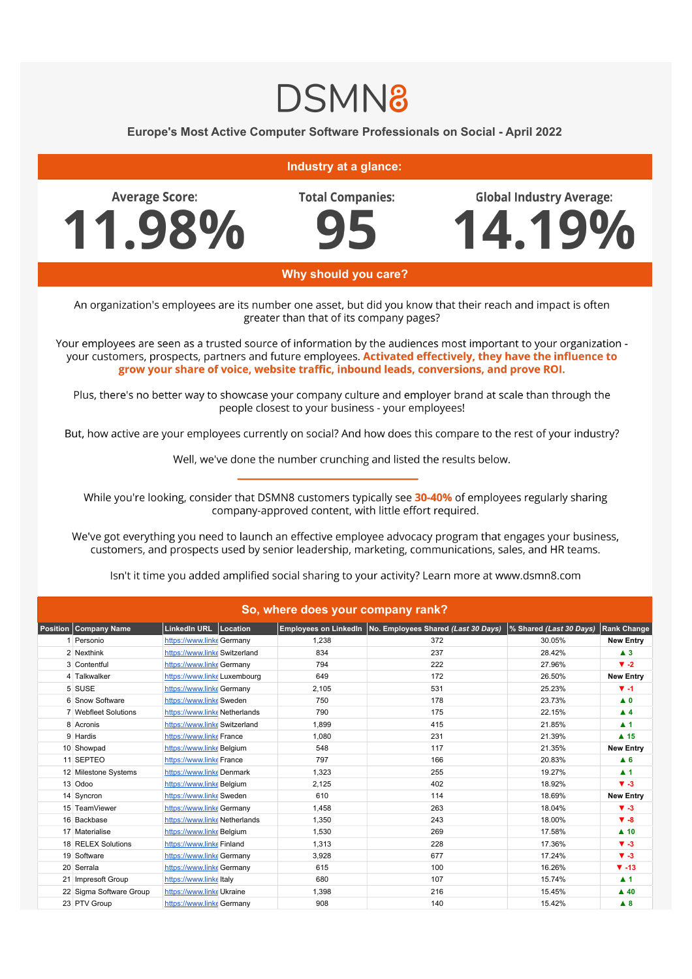## **DSMN8**

## Europe's Most Active Computer Software Professionals on Social - April 2022

## **Industry at a glance:**

**Average Score:** 11.98% **Total Companies:** 

**Global Industry Average:** 

4.19%



Why should you care?

An organization's employees are its number one asset, but did you know that their reach and impact is often greater than that of its company pages?

Your employees are seen as a trusted source of information by the audiences most important to your organization your customers, prospects, partners and future employees. Activated effectively, they have the influence to grow your share of voice, website traffic, inbound leads, conversions, and prove ROI.

Plus, there's no better way to showcase your company culture and employer brand at scale than through the people closest to your business - your employees!

But, how active are your employees currently on social? And how does this compare to the rest of your industry?

Well, we've done the number crunching and listed the results below.

While you're looking, consider that DSMN8 customers typically see 30-40% of employees regularly sharing company-approved content, with little effort required.

We've got everything you need to launch an effective employee advocacy program that engages your business, customers, and prospects used by senior leadership, marketing, communications, sales, and HR teams.

Isn't it time you added amplified social sharing to your activity? Learn more at www.dsmn8.com

| So, where does your company rank? |                         |                               |  |       |                                                             |                         |                     |  |
|-----------------------------------|-------------------------|-------------------------------|--|-------|-------------------------------------------------------------|-------------------------|---------------------|--|
| <b>Position</b>                   | Company Name            | LinkedIn URL Location         |  |       | Employees on LinkedIn   No. Employees Shared (Last 30 Days) | % Shared (Last 30 Days) | <b>Rank Change</b>  |  |
|                                   | Personio                | https://www.linke Germany     |  | 1.238 | 372                                                         | 30.05%                  | <b>New Entry</b>    |  |
|                                   | 2 Nexthink              | https://www.linke Switzerland |  | 834   | 237                                                         | 28.42%                  | $\blacktriangle$ 3  |  |
|                                   | 3 Contentful            | https://www.linke Germany     |  | 794   | 222                                                         | 27.96%                  | $\Psi -2$           |  |
|                                   | 4 Talkwalker            | https://www.linke Luxembourg  |  | 649   | 172                                                         | 26.50%                  | <b>New Entry</b>    |  |
|                                   | 5 SUSE                  | https://www.linke Germany     |  | 2,105 | 531                                                         | 25.23%                  | $V - 1$             |  |
|                                   | 6 Snow Software         | https://www.linke Sweden      |  | 750   | 178                                                         | 23.73%                  | $\blacktriangle$ 0  |  |
|                                   | 7 Webfleet Solutions    | https://www.linke Netherlands |  | 790   | 175                                                         | 22.15%                  | $\blacktriangle$ 4  |  |
|                                   | 8 Acronis               | https://www.linke Switzerland |  | 1,899 | 415                                                         | 21.85%                  | $\blacktriangle$ 1  |  |
|                                   | 9 Hardis                | https://www.linke France      |  | 1,080 | 231                                                         | 21.39%                  | $\blacktriangle$ 15 |  |
|                                   | 10 Showpad              | https://www.linkeBelgium      |  | 548   | 117                                                         | 21.35%                  | <b>New Entry</b>    |  |
|                                   | 11 SEPTEO               | https://www.linke France      |  | 797   | 166                                                         | 20.83%                  | A <sub>6</sub>      |  |
|                                   | 12 Milestone Systems    | https://www.linkeDenmark      |  | 1,323 | 255                                                         | 19.27%                  | $\blacktriangle$ 1  |  |
|                                   | 13 Odoo                 | https://www.linkeBelgium      |  | 2,125 | 402                                                         | 18.92%                  | $\Psi - 3$          |  |
|                                   | 14 Syncron              | https://www.linke Sweden      |  | 610   | 114                                                         | 18.69%                  | <b>New Entry</b>    |  |
|                                   | 15 TeamViewer           | https://www.linke Germany     |  | 1,458 | 263                                                         | 18.04%                  | $V - 3$             |  |
|                                   | 16 Backbase             | https://www.linke Netherlands |  | 1,350 | 243                                                         | 18.00%                  | $\Psi - 8$          |  |
|                                   | 17 Materialise          | https://www.linkeBelgium      |  | 1.530 | 269                                                         | 17.58%                  | $\blacktriangle$ 10 |  |
|                                   | 18 RELEX Solutions      | https://www.linke Finland     |  | 1,313 | 228                                                         | 17.36%                  | $V - 3$             |  |
|                                   | 19 Software             | https://www.linke Germany     |  | 3,928 | 677                                                         | 17.24%                  | $\Psi - 3$          |  |
|                                   | 20 Serrala              | https://www.linke Germany     |  | 615   | 100                                                         | 16.26%                  | $\Psi - 13$         |  |
|                                   | 21 Impresoft Group      | https://www.linkeltaly        |  | 680   | 107                                                         | 15.74%                  | $\blacktriangle$ 1  |  |
|                                   | 22 Sigma Software Group | https://www.linke Ukraine     |  | 1,398 | 216                                                         | 15.45%                  | $\triangle$ 40      |  |
|                                   | 23 PTV Group            | https://www.linke Germany     |  | 908   | 140                                                         | 15.42%                  | A 8                 |  |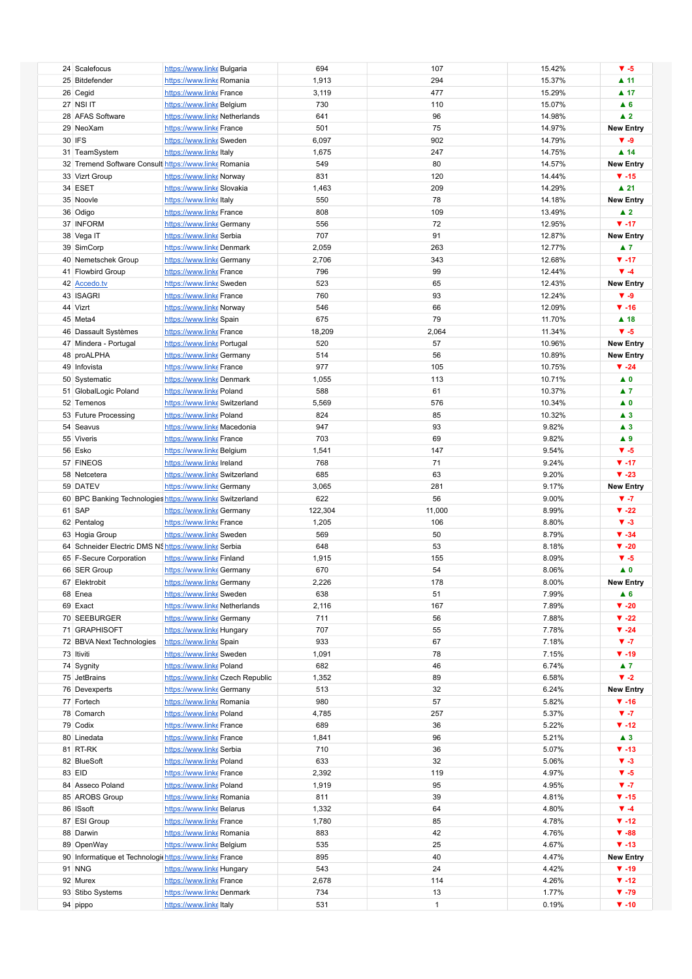|                                                           |                                                     |                                 | 694        |                    |                | $V - 5$                    |
|-----------------------------------------------------------|-----------------------------------------------------|---------------------------------|------------|--------------------|----------------|----------------------------|
| 24 Scalefocus                                             | https://www.linke Bulgaria                          |                                 |            | 107                | 15.42%         |                            |
| 25 Bitdefender                                            | https://www.linke Romania                           |                                 | 1,913      | 294                | 15.37%         | $\blacktriangle$ 11        |
| 26 Cegid                                                  | https://www.linke France                            |                                 | 3,119      | 477                | 15.29%         | $\blacktriangle$ 17        |
|                                                           |                                                     |                                 |            |                    |                |                            |
| 27 NSI IT                                                 | https://www.linkeBelgium                            |                                 | 730        | 110                | 15.07%         | A6                         |
| 28 AFAS Software                                          | https://www.linke Netherlands                       |                                 | 641        | 96                 | 14.98%         | $\blacktriangle$ 2         |
| 29 NeoXam                                                 | https://www.linke France                            |                                 | 501        | 75                 | 14.97%         | <b>New Entry</b>           |
| 30 IFS                                                    |                                                     |                                 |            |                    |                | $V - 9$                    |
|                                                           | https://www.linke Sweden                            |                                 | 6,097      | 902                | 14.79%         |                            |
| 31 TeamSystem                                             | https://www.linke Italy                             |                                 | 1,675      | 247                | 14.75%         | $\blacktriangle$ 14        |
| 32 Tremend Software Consult https://www.linke Romania     |                                                     |                                 | 549        | 80                 | 14.57%         | <b>New Entry</b>           |
|                                                           |                                                     |                                 | 831        | 120                |                | $\Psi - 15$                |
| 33 Vizrt Group                                            | https://www.linke Norway                            |                                 |            |                    | 14.44%         |                            |
| 34 ESET                                                   | https://www.linke Slovakia                          |                                 | 1,463      | 209                | 14.29%         | $\blacktriangle$ 21        |
| 35 Noovle                                                 | https://www.linkeltaly                              |                                 | 550        | 78                 | 14.18%         | <b>New Entry</b>           |
|                                                           |                                                     |                                 |            |                    |                |                            |
| 36 Odigo                                                  | https://www.linke France                            |                                 | 808        | 109                | 13.49%         | $\blacktriangle$ 2         |
| 37 INFORM                                                 | https://www.linke Germany                           |                                 | 556        | 72                 | 12.95%         | $\Psi - 17$                |
| 38 Vega IT                                                | https://www.linke Serbia                            |                                 | 707        | 91                 | 12.87%         | <b>New Entry</b>           |
|                                                           |                                                     |                                 |            | 263                | 12.77%         | $\blacktriangle$ 7         |
| 39 SimCorp                                                | https://www.linke Denmark                           |                                 | 2,059      |                    |                |                            |
| 40 Nemetschek Group                                       | https://www.linke Germany                           |                                 | 2,706      | 343                | 12.68%         | $\Psi - 17$                |
| 41 Flowbird Group                                         | https://www.linke France                            |                                 | 796        | 99                 | 12.44%         | $\Psi - 4$                 |
| 42 Accedo.tv                                              | https://www.linke Sweden                            |                                 | 523        | 65                 | 12.43%         | <b>New Entry</b>           |
|                                                           |                                                     |                                 |            |                    |                |                            |
| 43 ISAGRI                                                 | https://www.linke France                            |                                 | 760        | 93                 | 12.24%         | $\blacktriangledown -9$    |
| 44 Vizrt                                                  | https://www.linke Norway                            |                                 | 546        | 66                 | 12.09%         | $\Psi - 16$                |
| 45 Meta4                                                  | https://www.linke Spain                             |                                 | 675        | 79                 | 11.70%         | $\blacktriangle$ 18        |
|                                                           |                                                     |                                 |            |                    |                |                            |
| 46 Dassault Systèmes                                      | https://www.linke France                            |                                 | 18,209     | 2,064              | 11.34%         | $V - 5$                    |
| 47 Mindera - Portugal                                     | https://www.linke Portugal                          |                                 | 520        | 57                 | 10.96%         | <b>New Entry</b>           |
| 48 proALPHA                                               | https://www.linke Germany                           |                                 | 514        | 56                 | 10.89%         | <b>New Entry</b>           |
|                                                           |                                                     |                                 |            |                    |                |                            |
| 49 Infovista                                              | https://www.linke France                            |                                 | 977        | 105                | 10.75%         | $\Psi -24$                 |
| 50 Systematic                                             | https://www.linkeDenmark                            |                                 | 1,055      | 113                | 10.71%         | $\blacktriangle$ 0         |
| 51 GlobalLogic Poland                                     | https://www.linke Poland                            |                                 | 588        | 61                 | 10.37%         | $\blacktriangle$ 7         |
|                                                           |                                                     |                                 |            |                    |                |                            |
| 52 Temenos                                                | https://www.linke Switzerland                       |                                 | 5,569      | 576                | 10.34%         | $\blacktriangle$ 0         |
| 53 Future Processing                                      | https://www.linke Poland                            |                                 | 824        | 85                 | 10.32%         | $\blacktriangle$ 3         |
| 54 Seavus                                                 | https://www.linke Macedonia                         |                                 | 947        | 93                 | 9.82%          | $\blacktriangle$ 3         |
| 55 Viveris                                                | https://www.linke France                            |                                 | 703        | 69                 | 9.82%          | $\blacktriangle$ 9         |
|                                                           |                                                     |                                 |            |                    |                |                            |
| 56 Esko                                                   | https://www.linke Belgium                           |                                 | 1,541      | 147                | 9.54%          | $V - 5$                    |
| 57 FINEOS                                                 | https://www.linkelreland                            |                                 | 768        | 71                 | 9.24%          | $\Psi - 17$                |
| 58 Netcetera                                              | https://www.linke Switzerland                       |                                 | 685        | 63                 | 9.20%          | $\Psi - 23$                |
|                                                           |                                                     |                                 |            | 281                |                |                            |
| 59 DATEV                                                  | https://www.linke Germany                           |                                 | 3,065      |                    | 9.17%          | <b>New Entry</b>           |
|                                                           |                                                     |                                 |            |                    |                |                            |
| 60 BPC Banking Technologies https://www.linke Switzerland |                                                     |                                 | 622        | 56                 | 9.00%          | $V - 7$                    |
|                                                           |                                                     |                                 | 122.304    |                    |                |                            |
| 61 SAP                                                    | https://www.linke Germany                           |                                 |            | 11,000             | 8.99%          | $\Psi -22$                 |
| 62 Pentalog                                               | https://www.linke France                            |                                 | 1,205      | 106                | 8.80%          | $V - 3$                    |
| 63 Hogia Group                                            | https://www.linke Sweden                            |                                 | 569        | 50                 | 8.79%          | $\Psi - 34$                |
| 64 Schneider Electric DMS NS https://www.linke Serbia     |                                                     |                                 | 648        | 53                 | 8.18%          | $V - 20$                   |
|                                                           |                                                     |                                 |            | 155                | 8.09%          | $V - 5$                    |
| 65 F-Secure Corporation                                   | https://www.linke Finland                           |                                 | 1,915      |                    |                |                            |
| 66 SER Group                                              | https://www.linke Germany                           |                                 | 670        | 54                 | 8.06%          | $\blacktriangle$ 0         |
| 67 Elektrobit                                             | https://www.linke Germany                           |                                 | 2,226      | 178                | 8.00%          | <b>New Entry</b>           |
| 68 Enea                                                   | https://www.linke Sweden                            |                                 | 638        | 51                 | 7.99%          | $\blacktriangle$ 6         |
|                                                           |                                                     |                                 |            |                    |                |                            |
| 69 Exact                                                  | https://www.linke Netherlands                       |                                 | 2,116      | 167                | 7.89%          | $\Psi - 20$                |
| 70 SEEBURGER                                              | https://www.linke Germany                           |                                 | 711        | 56                 | 7.88%          | $\Psi -22$                 |
| 71 GRAPHISOFT                                             | https://www.linke Hungary                           |                                 | 707        | 55                 | 7.78%          | $\Psi -24$                 |
| 72 BBVA Next Technologies                                 |                                                     |                                 | 933        | 67                 | 7.18%          | $V - 7$                    |
|                                                           | https://www.linke Spain                             |                                 |            |                    |                |                            |
| 73 Itiviti                                                | https://www.linke Sweden                            |                                 | 1,091      | 78                 | 7.15%          | $\Psi - 19$                |
| 74 Sygnity                                                | https://www.linke Poland                            |                                 | 682        | 46                 | 6.74%          | $\blacktriangle$ 7         |
| 75 JetBrains                                              |                                                     | https://www.linkeCzech Republic | 1,352      | 89                 | 6.58%          | $\blacktriangledown -2$    |
|                                                           |                                                     |                                 |            |                    |                |                            |
| 76 Devexperts                                             | https://www.linke Germany                           |                                 | 513        | 32                 | 6.24%          | <b>New Entry</b>           |
| 77 Fortech                                                | https://www.linke Romania                           |                                 | 980        | 57                 | 5.82%          | $\Psi - 16$                |
| 78 Comarch                                                | https://www.linke Poland                            |                                 | 4,785      | 257                | 5.37%          | $V - 7$                    |
|                                                           |                                                     |                                 | 689        | 36                 |                | $\Psi - 12$                |
| 79 Codix                                                  | https://www.linke France                            |                                 |            |                    | 5.22%          |                            |
| 80 Linedata                                               | https://www.linke France                            |                                 | 1,841      | 96                 | 5.21%          | $\blacktriangle$ 3         |
| 81 RT-RK                                                  | https://www.linke Serbia                            |                                 | 710        | 36                 | 5.07%          | $\Psi - 13$                |
| 82 BlueSoft                                               | https://www.linke Poland                            |                                 | 633        | 32                 | 5.06%          | $V - 3$                    |
| 83 EID                                                    | https://www.linke France                            |                                 | 2,392      | 119                | 4.97%          | $V - 5$                    |
|                                                           |                                                     |                                 |            |                    |                |                            |
| 84 Asseco Poland                                          | https://www.linke Poland                            |                                 | 1,919      | 95                 | 4.95%          | $V - 7$                    |
| 85 AROBS Group                                            | https://www.linke Romania                           |                                 | 811        | 39                 | 4.81%          | $\Psi - 15$                |
| 86 ISsoft                                                 | https://www.linke Belarus                           |                                 | 1,332      | 64                 | 4.80%          | $\Psi - 4$                 |
| 87 ESI Group                                              | https://www.linke France                            |                                 | 1,780      | 85                 | 4.78%          | $\Psi - 12$                |
|                                                           |                                                     |                                 |            |                    |                |                            |
| 88 Darwin                                                 | https://www.linke Romania                           |                                 | 883        | 42                 | 4.76%          | $\Psi - 88$                |
| 89 OpenWay                                                | https://www.linke Belgium                           |                                 | 535        | 25                 | 4.67%          | $\Psi - 13$                |
| 90 Informatique et Technologic https://www.linke France   |                                                     |                                 | 895        | 40                 | 4.47%          | <b>New Entry</b>           |
| 91 NNG                                                    | https://www.linke Hungary                           |                                 | 543        | 24                 | 4.42%          | $\Psi - 19$                |
|                                                           |                                                     |                                 |            |                    |                |                            |
| 92 Murex                                                  | https://www.linke France                            |                                 | 2,678      | 114                | 4.26%          | $\Psi - 12$                |
| 93 Stibo Systems<br>94 pippo                              | https://www.linke Denmark<br>https://www.linkeltaly |                                 | 734<br>531 | 13<br>$\mathbf{1}$ | 1.77%<br>0.19% | $\Psi - 79$<br>$\Psi - 10$ |